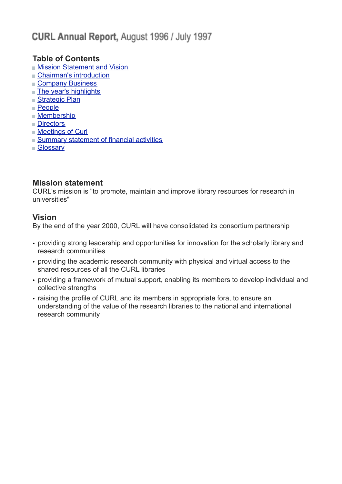# CURL Annual Report, August 1996 / July 1997

### **Table of Contents**

- **Mission Statement and Vision**
- [Chairman's introduction](http://www.curl.ac.uk/about/ar9697.htm#chairman)
- [Company Business](http://www.curl.ac.uk/about/ar9697.htm#company)
- **[The year's highlights](http://www.curl.ac.uk/about/ar9697.htm#highlights)**
- [Strategic Plan](http://www.curl.ac.uk/about/ar9697.htm#strategic)
- [People](http://www.curl.ac.uk/about/ar9697.htm#people)
- **[Membership](http://www.curl.ac.uk/about/ar9697.htm#membership)**
- **■[Directors](http://www.curl.ac.uk/about/ar9697.htm#directors)**
- [Meetings of Curl](http://www.curl.ac.uk/about/ar9697.htm#meetings)
- [Summary statement of financial activities](http://www.curl.ac.uk/about/ar9697.htm#summary)
- **[Glossary](http://www.curl.ac.uk/about/ar9697.htm#glossary)**

### **Mission statement**

CURL's mission is "to promote, maintain and improve library resources for research in universities"

### **Vision**

By the end of the year 2000, CURL will have consolidated its consortium partnership

- providing strong leadership and opportunities for innovation for the scholarly library and research communities
- providing the academic research community with physical and virtual access to the shared resources of all the CURL libraries
- providing a framework of mutual support, enabling its members to develop individual and collective strengths
- raising the profile of CURL and its members in appropriate fora, to ensure an understanding of the value of the research libraries to the national and international research community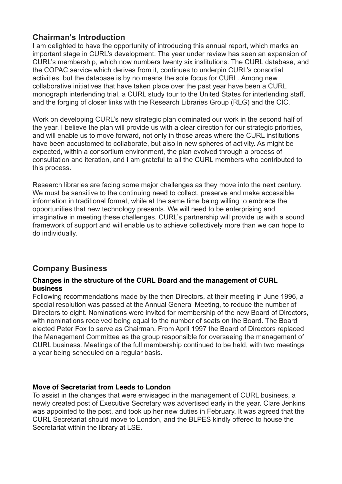### **Chairman's Introduction**

I am delighted to have the opportunity of introducing this annual report, which marks an important stage in CURL's development. The year under review has seen an expansion of CURL's membership, which now numbers twenty six institutions. The CURL database, and the COPAC service which derives from it, continues to underpin CURL's consortial activities, but the database is by no means the sole focus for CURL. Among new collaborative initiatives that have taken place over the past year have been a CURL monograph interlending trial, a CURL study tour to the United States for interlending staff, and the forging of closer links with the Research Libraries Group (RLG) and the CIC.

Work on developing CURL's new strategic plan dominated our work in the second half of the year. I believe the plan will provide us with a clear direction for our strategic priorities, and will enable us to move forward, not only in those areas where the CURL institutions have been accustomed to collaborate, but also in new spheres of activity. As might be expected, within a consortium environment, the plan evolved through a process of consultation and iteration, and I am grateful to all the CURL members who contributed to this process.

Research libraries are facing some major challenges as they move into the next century. We must be sensitive to the continuing need to collect, preserve and make accessible information in traditional format, while at the same time being willing to embrace the opportunities that new technology presents. We will need to be enterprising and imaginative in meeting these challenges. CURL's partnership will provide us with a sound framework of support and will enable us to achieve collectively more than we can hope to do individually.

### **Company Business**

#### **Changes in the structure of the CURL Board and the management of CURL business**

Following recommendations made by the then Directors, at their meeting in June 1996, a special resolution was passed at the Annual General Meeting, to reduce the number of Directors to eight. Nominations were invited for membership of the new Board of Directors, with nominations received being equal to the number of seats on the Board. The Board elected Peter Fox to serve as Chairman. From April 1997 the Board of Directors replaced the Management Committee as the group responsible for overseeing the management of CURL business. Meetings of the full membership continued to be held, with two meetings a year being scheduled on a regular basis.

### **Move of Secretariat from Leeds to London**

To assist in the changes that were envisaged in the management of CURL business, a newly created post of Executive Secretary was advertised early in the year. Clare Jenkins was appointed to the post, and took up her new duties in February. It was agreed that the CURL Secretariat should move to London, and the BLPES kindly offered to house the Secretariat within the library at LSE.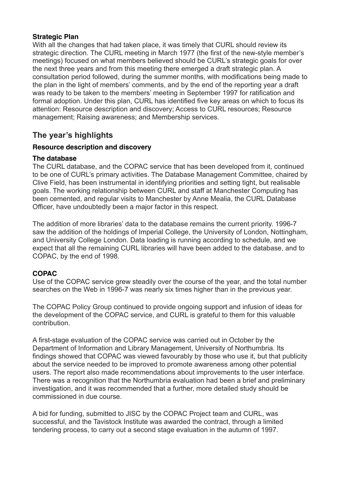#### **Strategic Plan**

With all the changes that had taken place, it was timely that CURL should review its strategic direction. The CURL meeting in March 1977 (the first of the new-style member's meetings) focused on what members believed should be CURL's strategic goals for over the next three years and from this meeting there emerged a draft strategic plan. A consultation period followed, during the summer months, with modifications being made to the plan in the light of members' comments, and by the end of the reporting year a draft was ready to be taken to the members' meeting in September 1997 for ratification and formal adoption. Under this plan, CURL has identified five key areas on which to focus its attention: Resource description and discovery; Access to CURL resources; Resource management; Raising awareness; and Membership services.

### **The year's highlights**

### **Resource description and discovery**

#### **The database**

The CURL database, and the COPAC service that has been developed from it, continued to be one of CURL's primary activities. The Database Management Committee, chaired by Clive Field, has been instrumental in identifying priorities and setting tight, but realisable goals. The working relationship between CURL and staff at Manchester Computing has been cemented, and regular visits to Manchester by Anne Mealia, the CURL Database Officer, have undoubtedly been a major factor in this respect.

The addition of more libraries' data to the database remains the current priority. 1996-7 saw the addition of the holdings of Imperial College, the University of London, Nottingham, and University College London. Data loading is running according to schedule, and we expect that all the remaining CURL libraries will have been added to the database, and to COPAC, by the end of 1998.

### **COPAC**

Use of the COPAC service grew steadily over the course of the year, and the total number searches on the Web in 1996-7 was nearly six times higher than in the previous year.

The COPAC Policy Group continued to provide ongoing support and infusion of ideas for the development of the COPAC service, and CURL is grateful to them for this valuable contribution.

A first-stage evaluation of the COPAC service was carried out in October by the Department of Information and Library Management, University of Northumbria. Its findings showed that COPAC was viewed favourably by those who use it, but that publicity about the service needed to be improved to promote awareness among other potential users. The report also made recommendations about improvements to the user interface. There was a recognition that the Northumbria evaluation had been a brief and preliminary investigation, and it was recommended that a further, more detailed study should be commissioned in due course.

A bid for funding, submitted to JISC by the COPAC Project team and CURL, was successful, and the Tavistock Institute was awarded the contract, through a limited tendering process, to carry out a second stage evaluation in the autumn of 1997.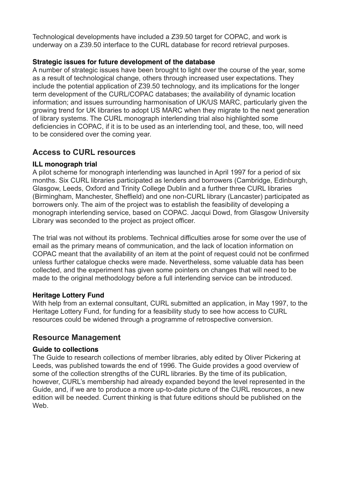Technological developments have included a Z39.50 target for COPAC, and work is underway on a Z39.50 interface to the CURL database for record retrieval purposes.

### **Strategic issues for future development of the database**

A number of strategic issues have been brought to light over the course of the year, some as a result of technological change, others through increased user expectations. They include the potential application of Z39.50 technology, and its implications for the longer term development of the CURL/COPAC databases; the availability of dynamic location information; and issues surrounding harmonisation of UK/US MARC, particularly given the growing trend for UK libraries to adopt US MARC when they migrate to the next generation of library systems. The CURL monograph interlending trial also highlighted some deficiencies in COPAC, if it is to be used as an interlending tool, and these, too, will need to be considered over the coming year.

### **Access to CURL resources**

### **ILL monograph trial**

A pilot scheme for monograph interlending was launched in April 1997 for a period of six months. Six CURL libraries participated as lenders and borrowers (Cambridge, Edinburgh, Glasgow, Leeds, Oxford and Trinity College Dublin and a further three CURL libraries (Birmingham, Manchester, Sheffield) and one non-CURL library (Lancaster) participated as borrowers only. The aim of the project was to establish the feasibility of developing a monograph interlending service, based on COPAC. Jacqui Dowd, from Glasgow University Library was seconded to the project as project officer.

The trial was not without its problems. Technical difficulties arose for some over the use of email as the primary means of communication, and the lack of location information on COPAC meant that the availability of an item at the point of request could not be confirmed unless further catalogue checks were made. Nevertheless, some valuable data has been collected, and the experiment has given some pointers on changes that will need to be made to the original methodology before a full interlending service can be introduced.

### **Heritage Lottery Fund**

With help from an external consultant, CURL submitted an application, in May 1997, to the Heritage Lottery Fund, for funding for a feasibility study to see how access to CURL resources could be widened through a programme of retrospective conversion.

### **Resource Management**

### **Guide to collections**

The Guide to research collections of member libraries, ably edited by Oliver Pickering at Leeds, was published towards the end of 1996. The Guide provides a good overview of some of the collection strengths of the CURL libraries. By the time of its publication, however, CURL's membership had already expanded beyond the level represented in the Guide, and, if we are to produce a more up-to-date picture of the CURL resources, a new edition will be needed. Current thinking is that future editions should be published on the Web.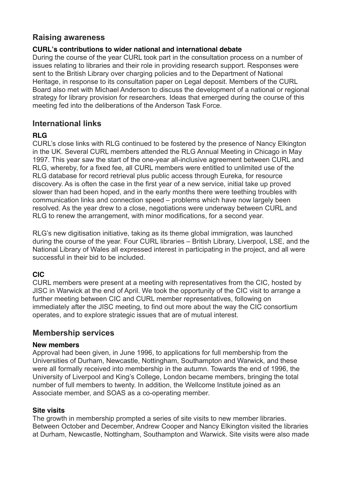### **Raising awareness**

### **CURL's contributions to wider national and international debate**

During the course of the year CURL took part in the consultation process on a number of issues relating to libraries and their role in providing research support. Responses were sent to the British Library over charging policies and to the Department of National Heritage, in response to its consultation paper on Legal deposit. Members of the CURL Board also met with Michael Anderson to discuss the development of a national or regional strategy for library provision for researchers. Ideas that emerged during the course of this meeting fed into the deliberations of the Anderson Task Force.

### **International links**

### **RLG**

CURL's close links with RLG continued to be fostered by the presence of Nancy Elkington in the UK. Several CURL members attended the RLG Annual Meeting in Chicago in May 1997. This year saw the start of the one-year all-inclusive agreement between CURL and RLG, whereby, for a fixed fee, all CURL members were entitled to unlimited use of the RLG database for record retrieval plus public access through Eureka, for resource discovery. As is often the case in the first year of a new service, initial take up proved slower than had been hoped, and in the early months there were teething troubles with communication links and connection speed – problems which have now largely been resolved. As the year drew to a close, negotiations were underway between CURL and RLG to renew the arrangement, with minor modifications, for a second year.

RLG's new digitisation initiative, taking as its theme global immigration, was launched during the course of the year. Four CURL libraries – British Library, Liverpool, LSE, and the National Library of Wales all expressed interest in participating in the project, and all were successful in their bid to be included.

### **CIC**

CURL members were present at a meeting with representatives from the CIC, hosted by JISC in Warwick at the end of April. We took the opportunity of the CIC visit to arrange a further meeting between CIC and CURL member representatives, following on immediately after the JISC meeting, to find out more about the way the CIC consortium operates, and to explore strategic issues that are of mutual interest.

### **Membership services**

### **New members**

Approval had been given, in June 1996, to applications for full membership from the Universities of Durham, Newcastle, Nottingham, Southampton and Warwick, and these were all formally received into membership in the autumn. Towards the end of 1996, the University of Liverpool and King's College, London became members, bringing the total number of full members to twenty. In addition, the Wellcome Institute joined as an Associate member, and SOAS as a co-operating member.

### **Site visits**

The growth in membership prompted a series of site visits to new member libraries. Between October and December, Andrew Cooper and Nancy Elkington visited the libraries at Durham, Newcastle, Nottingham, Southampton and Warwick. Site visits were also made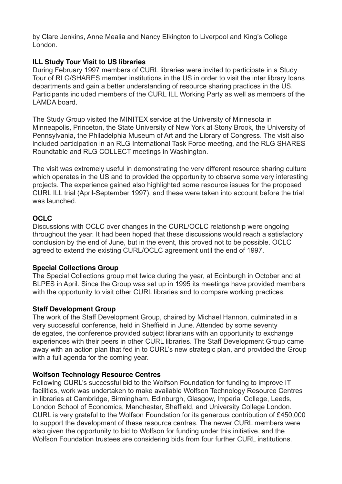by Clare Jenkins, Anne Mealia and Nancy Elkington to Liverpool and King's College London.

### **ILL Study Tour Visit to US libraries**

During February 1997 members of CURL libraries were invited to participate in a Study Tour of RLG/SHARES member institutions in the US in order to visit the inter library loans departments and gain a better understanding of resource sharing practices in the US. Participants included members of the CURL ILL Working Party as well as members of the LAMDA board.

The Study Group visited the MINITEX service at the University of Minnesota in Minneapolis, Princeton, the State University of New York at Stony Brook, the University of Pennsylvania, the Philadelphia Museum of Art and the Library of Congress. The visit also included participation in an RLG International Task Force meeting, and the RLG SHARES Roundtable and RLG COLLECT meetings in Washington.

The visit was extremely useful in demonstrating the very different resource sharing culture which operates in the US and to provided the opportunity to observe some very interesting projects. The experience gained also highlighted some resource issues for the proposed CURL ILL trial (April-September 1997), and these were taken into account before the trial was launched.

### **OCLC**

Discussions with OCLC over changes in the CURL/OCLC relationship were ongoing throughout the year. It had been hoped that these discussions would reach a satisfactory conclusion by the end of June, but in the event, this proved not to be possible. OCLC agreed to extend the existing CURL/OCLC agreement until the end of 1997.

### **Special Collections Group**

The Special Collections group met twice during the year, at Edinburgh in October and at BLPES in April. Since the Group was set up in 1995 its meetings have provided members with the opportunity to visit other CURL libraries and to compare working practices.

### **Staff Development Group**

The work of the Staff Development Group, chaired by Michael Hannon, culminated in a very successful conference, held in Sheffield in June. Attended by some seventy delegates, the conference provided subject librarians with an opportunity to exchange experiences with their peers in other CURL libraries. The Staff Development Group came away with an action plan that fed in to CURL's new strategic plan, and provided the Group with a full agenda for the coming year.

### **Wolfson Technology Resource Centres**

Following CURL's successful bid to the Wolfson Foundation for funding to improve IT facilities, work was undertaken to make available Wolfson Technology Resource Centres in libraries at Cambridge, Birmingham, Edinburgh, Glasgow, Imperial College, Leeds, London School of Economics, Manchester, Sheffield, and University College London. CURL is very grateful to the Wolfson Foundation for its generous contribution of £450,000 to support the development of these resource centres. The newer CURL members were also given the opportunity to bid to Wolfson for funding under this initiative, and the Wolfson Foundation trustees are considering bids from four further CURL institutions.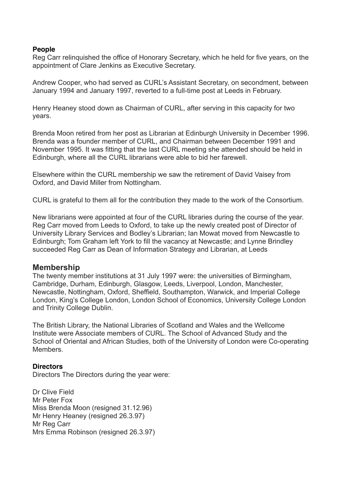#### **People**

Reg Carr relinquished the office of Honorary Secretary, which he held for five years, on the appointment of Clare Jenkins as Executive Secretary.

Andrew Cooper, who had served as CURL's Assistant Secretary, on secondment, between January 1994 and January 1997, reverted to a full-time post at Leeds in February.

Henry Heaney stood down as Chairman of CURL, after serving in this capacity for two years.

Brenda Moon retired from her post as Librarian at Edinburgh University in December 1996. Brenda was a founder member of CURL, and Chairman between December 1991 and November 1995. It was fitting that the last CURL meeting she attended should be held in Edinburgh, where all the CURL librarians were able to bid her farewell.

Elsewhere within the CURL membership we saw the retirement of David Vaisey from Oxford, and David Miller from Nottingham.

CURL is grateful to them all for the contribution they made to the work of the Consortium.

New librarians were appointed at four of the CURL libraries during the course of the year. Reg Carr moved from Leeds to Oxford, to take up the newly created post of Director of University Library Services and Bodley's Librarian; Ian Mowat moved from Newcastle to Edinburgh; Tom Graham left York to fill the vacancy at Newcastle; and Lynne Brindley succeeded Reg Carr as Dean of Information Strategy and Librarian, at Leeds

#### **Membership**

The twenty member institutions at 31 July 1997 were: the universities of Birmingham, Cambridge, Durham, Edinburgh, Glasgow, Leeds, Liverpool, London, Manchester, Newcastle, Nottingham, Oxford, Sheffield, Southampton, Warwick, and Imperial College London, King's College London, London School of Economics, University College London and Trinity College Dublin.

The British Library, the National Libraries of Scotland and Wales and the Wellcome Institute were Associate members of CURL. The School of Advanced Study and the School of Oriental and African Studies, both of the University of London were Co-operating **Members** 

#### **Directors**

Directors The Directors during the year were:

Dr Clive Field Mr Peter Fox Miss Brenda Moon (resigned 31.12.96) Mr Henry Heaney (resigned 26.3.97) Mr Reg Carr Mrs Emma Robinson (resigned 26.3.97)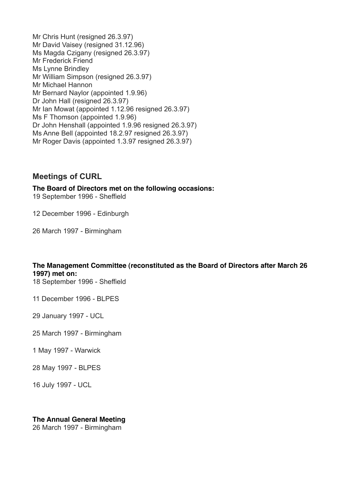Mr Chris Hunt (resigned 26.3.97) Mr David Vaisey (resigned 31.12.96) Ms Magda Czigany (resigned 26.3.97) Mr Frederick Friend Ms Lynne Brindley Mr William Simpson (resigned 26.3.97) Mr Michael Hannon Mr Bernard Naylor (appointed 1.9.96) Dr John Hall (resigned 26.3.97) Mr Ian Mowat (appointed 1.12.96 resigned 26.3.97) Ms F Thomson (appointed 1.9.96) Dr John Henshall (appointed 1.9.96 resigned 26.3.97) Ms Anne Bell (appointed 18.2.97 resigned 26.3.97) Mr Roger Davis (appointed 1.3.97 resigned 26.3.97)

### **Meetings of CURL**

**The Board of Directors met on the following occasions:** 19 September 1996 - Sheffield

12 December 1996 - Edinburgh

26 March 1997 - Birmingham

### **The Management Committee (reconstituted as the Board of Directors after March 26 1997) met on:**

18 September 1996 - Sheffield

11 December 1996 - BLPES

29 January 1997 - UCL

25 March 1997 - Birmingham

1 May 1997 - Warwick

28 May 1997 - BLPES

16 July 1997 - UCL

**The Annual General Meeting**

26 March 1997 - Birmingham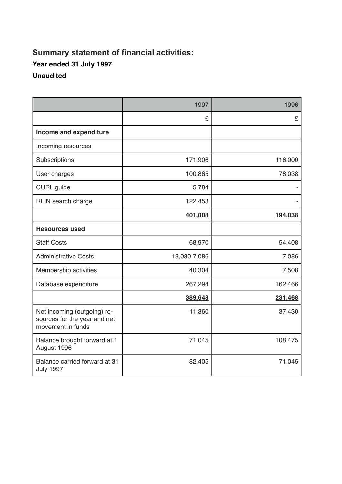## **Summary statement of financial activities: Year ended 31 July 1997 Unaudited**

|                                                                                  | 1997         | 1996    |
|----------------------------------------------------------------------------------|--------------|---------|
|                                                                                  | £            | £       |
| Income and expenditure                                                           |              |         |
| Incoming resources                                                               |              |         |
| Subscriptions                                                                    | 171,906      | 116,000 |
| User charges                                                                     | 100,865      | 78,038  |
| <b>CURL</b> guide                                                                | 5,784        |         |
| RLIN search charge                                                               | 122,453      |         |
|                                                                                  | 401,008      | 194,038 |
| <b>Resources used</b>                                                            |              |         |
| <b>Staff Costs</b>                                                               | 68,970       | 54,408  |
| <b>Administrative Costs</b>                                                      | 13,080 7,086 | 7,086   |
| Membership activities                                                            | 40,304       | 7,508   |
| Database expenditure                                                             | 267,294      | 162,466 |
|                                                                                  | 389,648      | 231,468 |
| Net incoming (outgoing) re-<br>sources for the year and net<br>movement in funds | 11,360       | 37,430  |
| Balance brought forward at 1<br>August 1996                                      | 71,045       | 108,475 |
| Balance carried forward at 31<br><b>July 1997</b>                                | 82,405       | 71,045  |